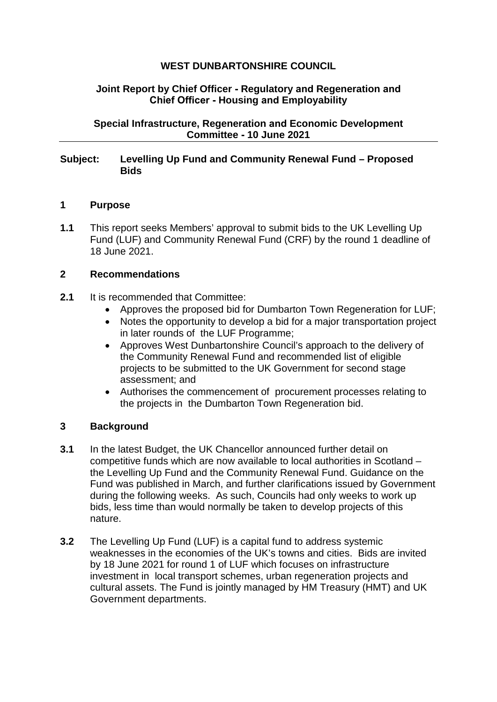# **WEST DUNBARTONSHIRE COUNCIL**

## **Joint Report by Chief Officer - Regulatory and Regeneration and Chief Officer - Housing and Employability**

**Special Infrastructure, Regeneration and Economic Development Committee - 10 June 2021** 

### **Subject: Levelling Up Fund and Community Renewal Fund – Proposed Bids**

### **1 Purpose**

**1.1** This report seeks Members' approval to submit bids to the UK Levelling Up Fund (LUF) and Community Renewal Fund (CRF) by the round 1 deadline of 18 June 2021.

## **2 Recommendations**

- **2.1** It is recommended that Committee:
	- Approves the proposed bid for Dumbarton Town Regeneration for LUF;
	- Notes the opportunity to develop a bid for a major transportation project in later rounds of the LUF Programme;
	- Approves West Dunbartonshire Council's approach to the delivery of the Community Renewal Fund and recommended list of eligible projects to be submitted to the UK Government for second stage assessment; and
	- Authorises the commencement of procurement processes relating to the projects in the Dumbarton Town Regeneration bid.

# **3 Background**

- **3.1** In the latest Budget, the UK Chancellor announced further detail on competitive funds which are now available to local authorities in Scotland – the Levelling Up Fund and the Community Renewal Fund. Guidance on the Fund was published in March, and further clarifications issued by Government during the following weeks. As such, Councils had only weeks to work up bids, less time than would normally be taken to develop projects of this nature.
- **3.2** [The Levelling Up Fund](https://assets.publishing.service.gov.uk/government/uploads/system/uploads/attachment_data/file/966138/Levelling_Up_prospectus.pdf) (LUF) is a capital fund to address systemic weaknesses in the economies of the UK's towns and cities. Bids are invited by 18 June 2021 for round 1 of LUF which focuses on infrastructure investment in local transport schemes, urban regeneration projects and cultural assets. The Fund is jointly managed by HM Treasury (HMT) and UK Government departments.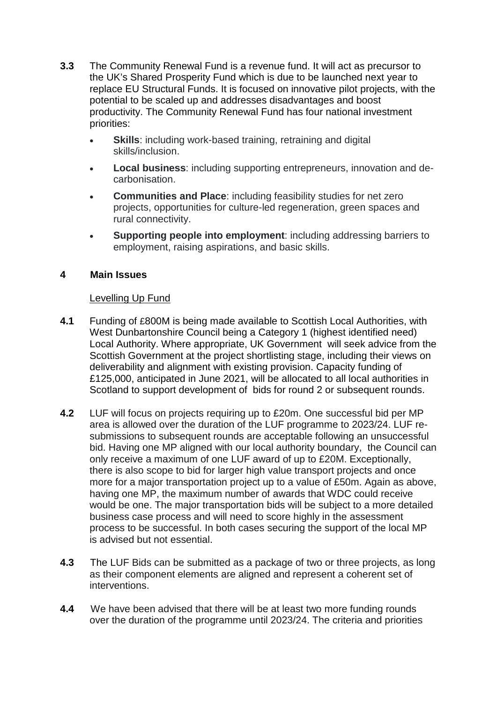- **3.3** [The Community Renewal Fund](https://www.gov.uk/government/publications/uk-community-renewal-fund-prospectus/uk-community-renewal-fund-prospectus-2021-22) is a revenue fund. It will act as precursor to the UK's Shared Prosperity Fund which is due to be launched next year to replace EU Structural Funds. It is focused on innovative pilot projects, with the potential to be scaled up and addresses disadvantages and boost productivity. The Community Renewal Fund has four national investment priorities:
	- **Skills:** including work-based training, retraining and digital skills/inclusion.
	- **Local business**: including supporting entrepreneurs, innovation and decarbonisation.
	- **Communities and Place**: including feasibility studies for net zero projects, opportunities for culture-led regeneration, green spaces and rural connectivity.
	- **Supporting people into employment**: including addressing barriers to employment, raising aspirations, and basic skills.

## **4 Main Issues**

## Levelling Up Fund

- **4.1** Funding of £800M is being made available to Scottish Local Authorities, with West Dunbartonshire Council being a Category 1 (highest identified need) Local Authority. Where appropriate, UK Government will seek advice from the Scottish Government at the project shortlisting stage, including their views on deliverability and alignment with existing provision. Capacity funding of £125,000, anticipated in June 2021, will be allocated to all local authorities in Scotland to support development of bids for round 2 or subsequent rounds.
- **4.2** LUF will focus on projects requiring up to £20m. One successful bid per MP area is allowed over the duration of the LUF programme to 2023/24. LUF resubmissions to subsequent rounds are acceptable following an unsuccessful bid. Having one MP aligned with our local authority boundary, the Council can only receive a maximum of one LUF award of up to £20M. Exceptionally, there is also scope to bid for larger high value transport projects and once more for a major transportation project up to a value of £50m. Again as above, having one MP, the maximum number of awards that WDC could receive would be one. The major transportation bids will be subject to a more detailed business case process and will need to score highly in the assessment process to be successful. In both cases securing the support of the local MP is advised but not essential.
- **4.3** The LUF Bids can be submitted as a package of two or three projects, as long as their component elements are aligned and represent a coherent set of interventions.
- **4.4** We have been advised that there will be at least two more funding rounds over the duration of the programme until 2023/24. The criteria and priorities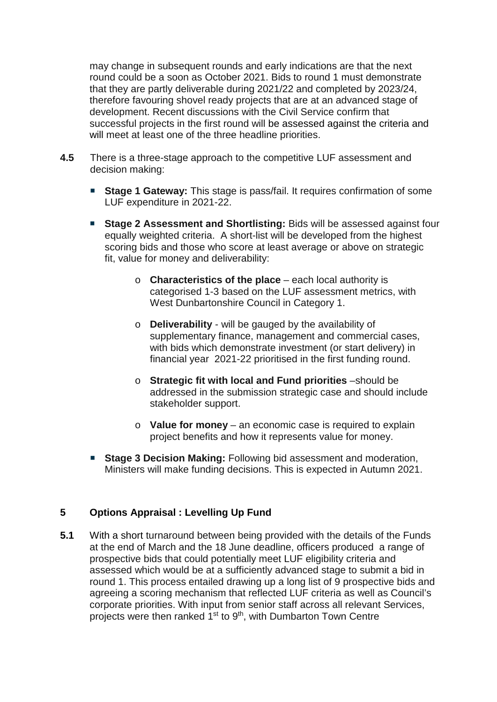may change in subsequent rounds and early indications are that the next round could be a soon as October 2021. Bids to round 1 must demonstrate that they are partly deliverable during 2021/22 and completed by 2023/24, therefore favouring shovel ready projects that are at an advanced stage of development. Recent discussions with the Civil Service confirm that successful projects in the first round will be assessed against the criteria and will meet at least one of the three headline priorities.

- **4.5** There is a three-stage approach to the competitive LUF assessment and decision making:
	- **Stage 1 Gateway:** This stage is pass/fail. It requires confirmation of some LUF expenditure in 2021-22.
	- **Stage 2 Assessment and Shortlisting:** Bids will be assessed against four equally weighted criteria. A short-list will be developed from the highest scoring bids and those who score at least average or above on strategic fit, value for money and deliverability:
		- o **Characteristics of the place** each local authority is categorised 1-3 based on the LUF assessment metrics, with West Dunbartonshire Council in Category 1.
		- o **Deliverability** will be gauged by the availability of supplementary finance, management and commercial cases, with bids which demonstrate investment (or start delivery) in financial year 2021-22 prioritised in the first funding round.
		- o **Strategic fit with local and Fund priorities** –should be addressed in the submission strategic case and should include stakeholder support.
		- o **Value for money** an economic case is required to explain project benefits and how it represents value for money.
	- **Stage 3 Decision Making:** Following bid assessment and moderation, Ministers will make funding decisions. This is expected in Autumn 2021.

# **5 Options Appraisal : Levelling Up Fund**

**5.1** With a short turnaround between being provided with the details of the Funds at the end of March and the 18 June deadline, officers produced a range of prospective bids that could potentially meet LUF eligibility criteria and assessed which would be at a sufficiently advanced stage to submit a bid in round 1. This process entailed drawing up a long list of 9 prospective bids and agreeing a scoring mechanism that reflected LUF criteria as well as Council's corporate priorities. With input from senior staff across all relevant Services, projects were then ranked 1<sup>st</sup> to 9<sup>th</sup>, with Dumbarton Town Centre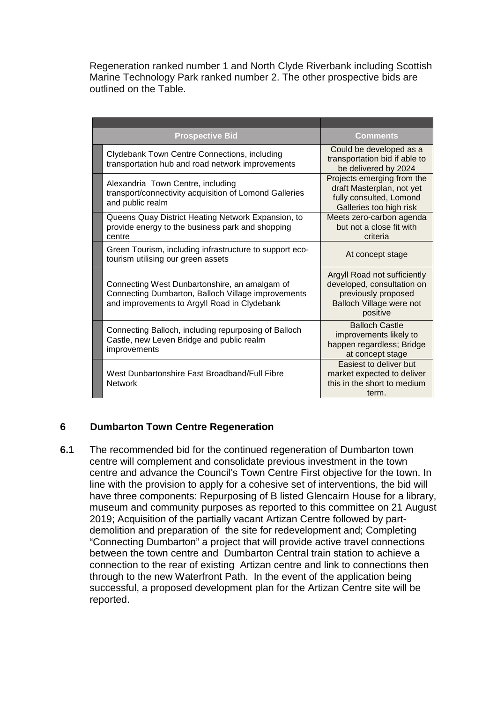Regeneration ranked number 1 and North Clyde Riverbank including Scottish Marine Technology Park ranked number 2. The other prospective bids are outlined on the Table.

| <b>Prospective Bid</b>                                                                                                                              | Comments                                                                                                                  |
|-----------------------------------------------------------------------------------------------------------------------------------------------------|---------------------------------------------------------------------------------------------------------------------------|
| Clydebank Town Centre Connections, including<br>transportation hub and road network improvements                                                    | Could be developed as a<br>transportation bid if able to<br>be delivered by 2024                                          |
| Alexandria Town Centre, including<br>transport/connectivity acquisition of Lomond Galleries<br>and public realm                                     | Projects emerging from the<br>draft Masterplan, not yet<br>fully consulted, Lomond<br>Galleries too high risk             |
| Queens Quay District Heating Network Expansion, to<br>provide energy to the business park and shopping<br>centre                                    | Meets zero-carbon agenda<br>but not a close fit with<br>criteria                                                          |
| Green Tourism, including infrastructure to support eco-<br>tourism utilising our green assets                                                       | At concept stage                                                                                                          |
| Connecting West Dunbartonshire, an amalgam of<br>Connecting Dumbarton, Balloch Village improvements<br>and improvements to Argyll Road in Clydebank | Argyll Road not sufficiently<br>developed, consultation on<br>previously proposed<br>Balloch Village were not<br>positive |
| Connecting Balloch, including repurposing of Balloch<br>Castle, new Leven Bridge and public realm<br>improvements                                   | <b>Balloch Castle</b><br>improvements likely to<br>happen regardless; Bridge<br>at concept stage                          |
| West Dunbartonshire Fast Broadband/Full Fibre<br><b>Network</b>                                                                                     | Easiest to deliver but<br>market expected to deliver<br>this in the short to medium<br>term.                              |

# **6 Dumbarton Town Centre Regeneration**

**6.1** The recommended bid for the continued regeneration of Dumbarton town centre will complement and consolidate previous investment in the town centre and advance the Council's Town Centre First objective for the town. In line with the provision to apply for a cohesive set of interventions, the bid will have three components: Repurposing of B listed Glencairn House for a library, museum and community purposes as reported to this committee on 21 August 2019; Acquisition of the partially vacant Artizan Centre followed by partdemolition and preparation of the site for redevelopment and; Completing "Connecting Dumbarton" a project that will provide active travel connections between the town centre and Dumbarton Central train station to achieve a connection to the rear of existing Artizan centre and link to connections then through to the new Waterfront Path. In the event of the application being successful, a proposed development plan for the Artizan Centre site will be reported.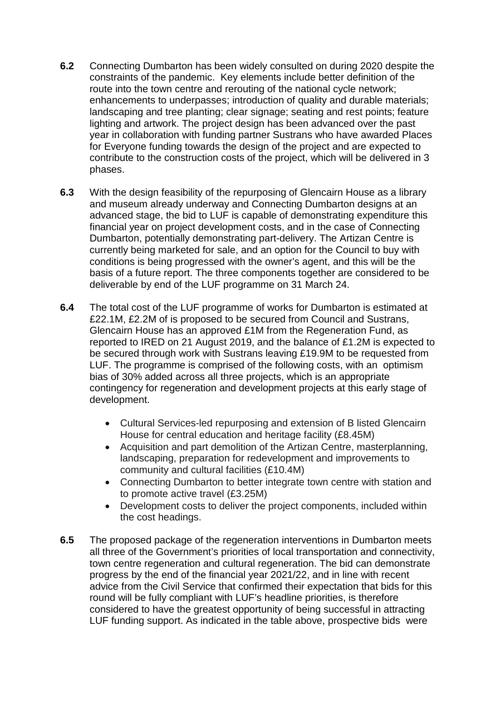- **6.2** Connecting Dumbarton has been widely consulted on during 2020 despite the constraints of the pandemic. Key elements include better definition of the route into the town centre and rerouting of the national cycle network; enhancements to underpasses; introduction of quality and durable materials; landscaping and tree planting; clear signage; seating and rest points; feature lighting and artwork. The project design has been advanced over the past year in collaboration with funding partner Sustrans who have awarded Places for Everyone funding towards the design of the project and are expected to contribute to the construction costs of the project, which will be delivered in 3 phases.
- **6.3** With the design feasibility of the repurposing of Glencairn House as a library and museum already underway and Connecting Dumbarton designs at an advanced stage, the bid to LUF is capable of demonstrating expenditure this financial year on project development costs, and in the case of Connecting Dumbarton, potentially demonstrating part-delivery. The Artizan Centre is currently being marketed for sale, and an option for the Council to buy with conditions is being progressed with the owner's agent, and this will be the basis of a future report. The three components together are considered to be deliverable by end of the LUF programme on 31 March 24.
- **6.4** The total cost of the LUF programme of works for Dumbarton is estimated at £22.1M, £2.2M of is proposed to be secured from Council and Sustrans, Glencairn House has an approved £1M from the Regeneration Fund, as reported to IRED on 21 August 2019, and the balance of £1.2M is expected to be secured through work with Sustrans leaving £19.9M to be requested from LUF. The programme is comprised of the following costs, with an optimism bias of 30% added across all three projects, which is an appropriate contingency for regeneration and development projects at this early stage of development.
	- Cultural Services-led repurposing and extension of B listed Glencairn House for central education and heritage facility (£8.45M)
	- Acquisition and part demolition of the Artizan Centre, masterplanning, landscaping, preparation for redevelopment and improvements to community and cultural facilities (£10.4M)
	- Connecting Dumbarton to better integrate town centre with station and to promote active travel (£3.25M)
	- Development costs to deliver the project components, included within the cost headings.
- **6.5** The proposed package of the regeneration interventions in Dumbarton meets all three of the Government's priorities of local transportation and connectivity, town centre regeneration and cultural regeneration. The bid can demonstrate progress by the end of the financial year 2021/22, and in line with recent advice from the Civil Service that confirmed their expectation that bids for this round will be fully compliant with LUF's headline priorities, is therefore considered to have the greatest opportunity of being successful in attracting LUF funding support. As indicated in the table above, prospective bids were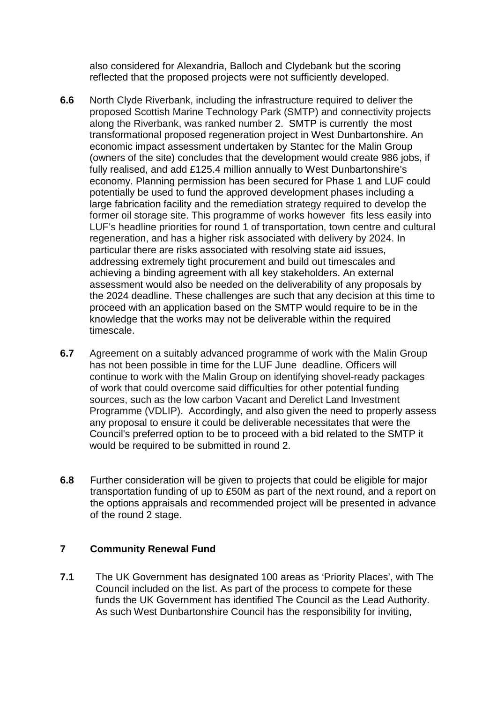also considered for Alexandria, Balloch and Clydebank but the scoring reflected that the proposed projects were not sufficiently developed.

- **6.6** North Clyde Riverbank, including the infrastructure required to deliver the proposed Scottish Marine Technology Park (SMTP) and connectivity projects along the Riverbank, was ranked number 2. SMTP is currently the most transformational proposed regeneration project in West Dunbartonshire. An economic impact assessment undertaken by Stantec for the Malin Group (owners of the site) concludes that the development would create 986 jobs, if fully realised, and add £125.4 million annually to West Dunbartonshire's economy. Planning permission has been secured for Phase 1 and LUF could potentially be used to fund the approved development phases including a large fabrication facility and the remediation strategy required to develop the former oil storage site. This programme of works however fits less easily into LUF's headline priorities for round 1 of transportation, town centre and cultural regeneration, and has a higher risk associated with delivery by 2024. In particular there are risks associated with resolving state aid issues, addressing extremely tight procurement and build out timescales and achieving a binding agreement with all key stakeholders. An external assessment would also be needed on the deliverability of any proposals by the 2024 deadline. These challenges are such that any decision at this time to proceed with an application based on the SMTP would require to be in the knowledge that the works may not be deliverable within the required timescale.
- **6.7** Agreement on a suitably advanced programme of work with the Malin Group has not been possible in time for the LUF June deadline. Officers will continue to work with the Malin Group on identifying shovel-ready packages of work that could overcome said difficulties for other potential funding sources, such as the low carbon Vacant and Derelict Land Investment Programme (VDLIP). Accordingly, and also given the need to properly assess any proposal to ensure it could be deliverable necessitates that were the Council's preferred option to be to proceed with a bid related to the SMTP it would be required to be submitted in round 2.
- **6.8** Further consideration will be given to projects that could be eligible for major transportation funding of up to £50M as part of the next round, and a report on the options appraisals and recommended project will be presented in advance of the round 2 stage.

### **7 Community Renewal Fund**

**7.1** The UK Government has designated 100 areas as 'Priority Places', with The Council included on the list. As part of the process to compete for these funds the UK Government has identified The Council as the Lead Authority. As such West Dunbartonshire Council has the responsibility for inviting,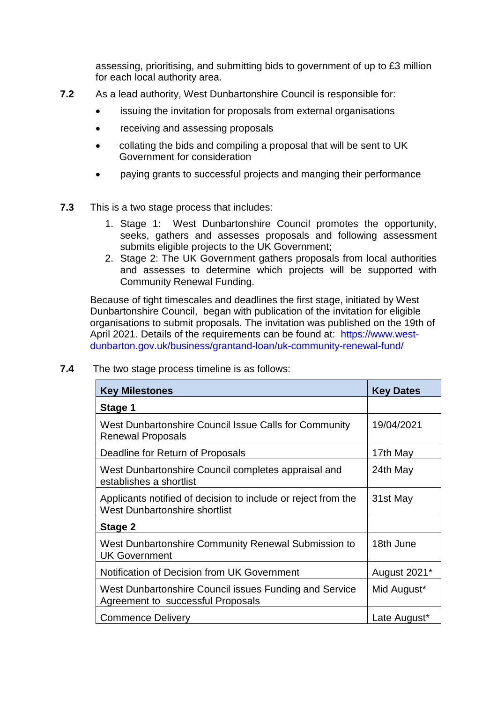assessing, prioritising, and submitting bids to government of up to £3 million for each local authority area.

- **7.2** As a lead authority, West Dunbartonshire Council is responsible for:
	- issuing the invitation for proposals from external organisations
	- receiving and assessing proposals
	- collating the bids and compiling a proposal that will be sent to UK Government for consideration
	- paying grants to successful projects and manging their performance
- **7.3** This is a two stage process that includes:
	- 1. Stage 1: West Dunbartonshire Council promotes the opportunity, seeks, gathers and assesses proposals and following assessment submits eligible projects to the UK Government;
	- 2. Stage 2: The UK Government gathers proposals from local authorities and assesses to determine which projects will be supported with Community Renewal Funding.

Because of tight timescales and deadlines the first stage, initiated by West Dunbartonshire Council, began with publication of the invitation for eligible organisations to submit proposals. The invitation was published on the 19th of April 2021. Details of the requirements can be found at: https://www.westdunbarton.gov.uk/business/grantand-loan/uk-community-renewal-fund/

| <b>Key Milestones</b>                                                                                 | <b>Key Dates</b> |
|-------------------------------------------------------------------------------------------------------|------------------|
| Stage 1                                                                                               |                  |
| West Dunbartonshire Council Issue Calls for Community<br><b>Renewal Proposals</b>                     | 19/04/2021       |
| Deadline for Return of Proposals                                                                      | 17th May         |
| West Dunbartonshire Council completes appraisal and<br>establishes a shortlist                        | 24th May         |
| Applicants notified of decision to include or reject from the<br><b>West Dunbartonshire shortlist</b> | 31st May         |
| Stage 2                                                                                               |                  |
| West Dunbartonshire Community Renewal Submission to<br><b>UK Government</b>                           | 18th June        |
| Notification of Decision from UK Government                                                           | August 2021*     |
| West Dunbartonshire Council issues Funding and Service<br>Agreement to successful Proposals           | Mid August*      |
| <b>Commence Delivery</b>                                                                              | Late August*     |

**7.4** The two stage process timeline is as follows: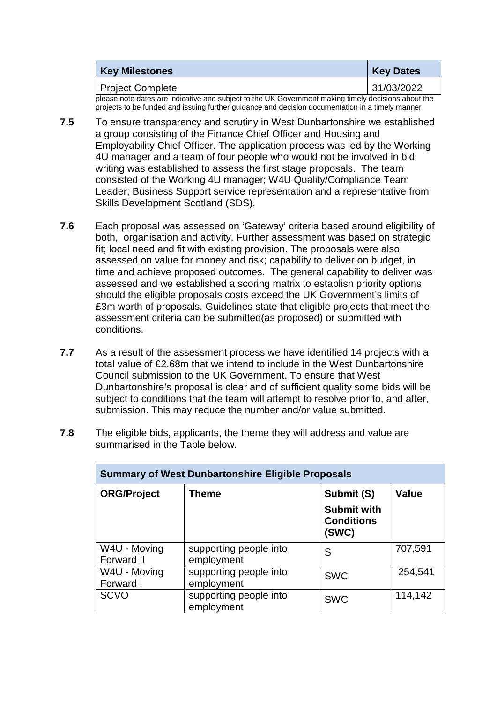| <b>Key Milestones</b> | <b>Key Dates</b> |
|-----------------------|------------------|
| Project Complete      | 31/03/2022       |

please note dates are indicative and subject to the UK Government making timely decisions about the projects to be funded and issuing further guidance and decision documentation in a timely manner

- **7.5** To ensure transparency and scrutiny in West Dunbartonshire we established a group consisting of the Finance Chief Officer and Housing and Employability Chief Officer. The application process was led by the Working 4U manager and a team of four people who would not be involved in bid writing was established to assess the first stage proposals. The team consisted of the Working 4U manager; W4U Quality/Compliance Team Leader; Business Support service representation and a representative from Skills Development Scotland (SDS).
- **7.6** Each proposal was assessed on 'Gateway' criteria based around eligibility of both, organisation and activity. Further assessment was based on strategic fit; local need and fit with existing provision. The proposals were also assessed on value for money and risk; capability to deliver on budget, in time and achieve proposed outcomes. The general capability to deliver was assessed and we established a scoring matrix to establish priority options should the eligible proposals costs exceed the UK Government's limits of £3m worth of proposals. Guidelines state that eligible projects that meet the assessment criteria can be submitted(as proposed) or submitted with conditions.
- **7.7** As a result of the assessment process we have identified 14 projects with a total value of £2.68m that we intend to include in the West Dunbartonshire Council submission to the UK Government. To ensure that West Dunbartonshire's proposal is clear and of sufficient quality some bids will be subject to conditions that the team will attempt to resolve prior to, and after, submission. This may reduce the number and/or value submitted.
- **7.8** The eligible bids, applicants, the theme they will address and value are summarised in the Table below.

| <b>Summary of West Dunbartonshire Eligible Proposals</b> |                                      |                                                                |              |
|----------------------------------------------------------|--------------------------------------|----------------------------------------------------------------|--------------|
| <b>ORG/Project</b>                                       | Theme                                | Submit (S)<br><b>Submit with</b><br><b>Conditions</b><br>(SWC) | <b>Value</b> |
| W4U - Moving<br>Forward II                               | supporting people into<br>employment | S                                                              | 707,591      |
| W4U - Moving<br>Forward I                                | supporting people into<br>employment | <b>SWC</b>                                                     | 254,541      |
| <b>SCVO</b>                                              | supporting people into<br>employment | <b>SWC</b>                                                     | 114,142      |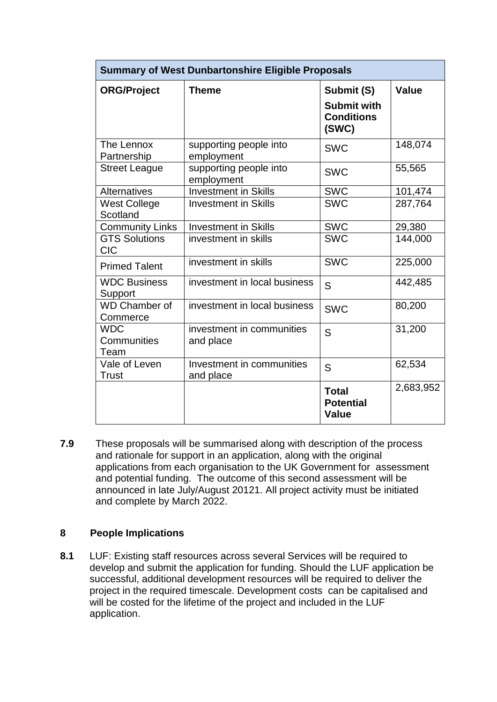| <b>Summary of West Dunbartonshire Eligible Proposals</b> |                                        |                                                                |           |
|----------------------------------------------------------|----------------------------------------|----------------------------------------------------------------|-----------|
| <b>ORG/Project</b>                                       | <b>Theme</b>                           | Submit (S)<br><b>Submit with</b><br><b>Conditions</b><br>(SWC) | Value     |
| The Lennox<br>Partnership                                | supporting people into<br>employment   | <b>SWC</b>                                                     | 148,074   |
| <b>Street League</b>                                     | supporting people into<br>employment   | <b>SWC</b>                                                     | 55,565    |
| <b>Alternatives</b>                                      | <b>Investment in Skills</b>            | <b>SWC</b>                                                     | 101,474   |
| <b>West College</b><br>Scotland                          | <b>Investment in Skills</b>            | <b>SWC</b>                                                     | 287,764   |
| <b>Community Links</b>                                   | <b>Investment in Skills</b>            | <b>SWC</b>                                                     | 29,380    |
| <b>GTS Solutions</b><br><b>CIC</b>                       | investment in skills                   | <b>SWC</b>                                                     | 144,000   |
| <b>Primed Talent</b>                                     | investment in skills                   | <b>SWC</b>                                                     | 225,000   |
| <b>WDC Business</b><br>Support                           | investment in local business           | S                                                              | 442,485   |
| <b>WD Chamber of</b><br>Commerce                         | investment in local business           | <b>SWC</b>                                                     | 80,200    |
| <b>WDC</b><br>Communities<br>Team                        | investment in communities<br>and place | S                                                              | 31,200    |
| Vale of Leven<br><b>Trust</b>                            | Investment in communities<br>and place | S                                                              | 62,534    |
|                                                          |                                        | <b>Total</b><br><b>Potential</b><br><b>Value</b>               | 2,683,952 |

**7.9** These proposals will be summarised along with description of the process and rationale for support in an application, along with the original applications from each organisation to the UK Government for assessment and potential funding. The outcome of this second assessment will be announced in late July/August 20121. All project activity must be initiated and complete by March 2022.

### **8 People Implications**

**8.1** LUF: Existing staff resources across several Services will be required to develop and submit the application for funding. Should the LUF application be successful, additional development resources will be required to deliver the project in the required timescale. Development costs can be capitalised and will be costed for the lifetime of the project and included in the LUF application.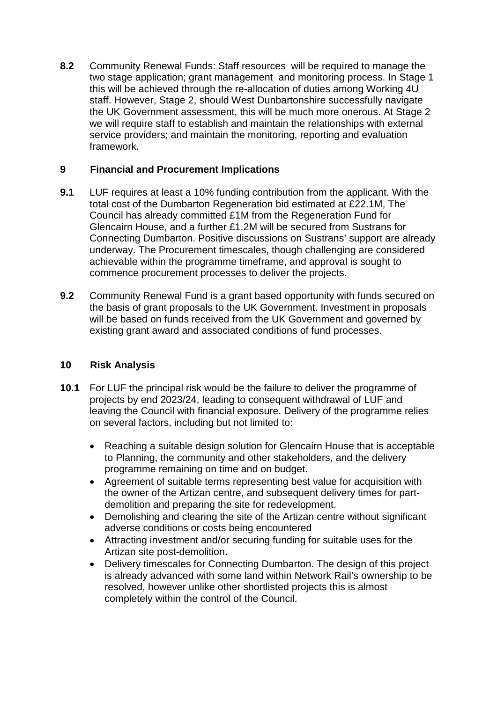**8.2** Community Renewal Funds: Staff resources will be required to manage the two stage application; grant management and monitoring process. In Stage 1 this will be achieved through the re-allocation of duties among Working 4U staff. However, Stage 2, should West Dunbartonshire successfully navigate the UK Government assessment, this will be much more onerous. At Stage 2 we will require staff to establish and maintain the relationships with external service providers; and maintain the monitoring, reporting and evaluation framework.

# **9 Financial and Procurement Implications**

- **9.1** LUF requires at least a 10% funding contribution from the applicant. With the total cost of the Dumbarton Regeneration bid estimated at £22.1M, The Council has already committed £1M from the Regeneration Fund for Glencairn House, and a further £1.2M will be secured from Sustrans for Connecting Dumbarton. Positive discussions on Sustrans' support are already underway. The Procurement timescales, though challenging are considered achievable within the programme timeframe, and approval is sought to commence procurement processes to deliver the projects.
- **9.2** Community Renewal Fund is a grant based opportunity with funds secured on the basis of grant proposals to the UK Government. Investment in proposals will be based on funds received from the UK Government and governed by existing grant award and associated conditions of fund processes.

### **10 Risk Analysis**

- **10.1** For LUF the principal risk would be the failure to deliver the programme of projects by end 2023/24, leading to consequent withdrawal of LUF and leaving the Council with financial exposure. Delivery of the programme relies on several factors, including but not limited to:
	- Reaching a suitable design solution for Glencairn House that is acceptable to Planning, the community and other stakeholders, and the delivery programme remaining on time and on budget.
	- Agreement of suitable terms representing best value for acquisition with the owner of the Artizan centre, and subsequent delivery times for partdemolition and preparing the site for redevelopment.
	- Demolishing and clearing the site of the Artizan centre without significant adverse conditions or costs being encountered
	- Attracting investment and/or securing funding for suitable uses for the Artizan site post-demolition.
	- Delivery timescales for Connecting Dumbarton. The design of this project is already advanced with some land within Network Rail's ownership to be resolved, however unlike other shortlisted projects this is almost completely within the control of the Council.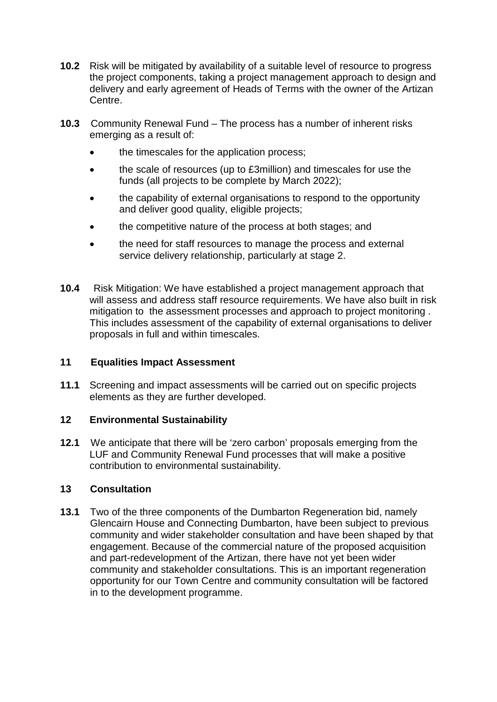- **10.2** Risk will be mitigated by availability of a suitable level of resource to progress the project components, taking a project management approach to design and delivery and early agreement of Heads of Terms with the owner of the Artizan Centre.
- **10.3** Community Renewal Fund The process has a number of inherent risks emerging as a result of:
	- the timescales for the application process;
	- the scale of resources (up to £3million) and timescales for use the funds (all projects to be complete by March 2022);
	- the capability of external organisations to respond to the opportunity and deliver good quality, eligible projects;
	- the competitive nature of the process at both stages; and
	- the need for staff resources to manage the process and external service delivery relationship, particularly at stage 2.
- **10.4** Risk Mitigation: We have established a project management approach that will assess and address staff resource requirements. We have also built in risk mitigation to the assessment processes and approach to project monitoring . This includes assessment of the capability of external organisations to deliver proposals in full and within timescales.

### **11 Equalities Impact Assessment**

**11.1** Screening and impact assessments will be carried out on specific projects elements as they are further developed.

### **12 Environmental Sustainability**

**12.1** We anticipate that there will be 'zero carbon' proposals emerging from the LUF and Community Renewal Fund processes that will make a positive contribution to environmental sustainability.

### **13 Consultation**

**13.1** Two of the three components of the Dumbarton Regeneration bid, namely Glencairn House and Connecting Dumbarton, have been subject to previous community and wider stakeholder consultation and have been shaped by that engagement. Because of the commercial nature of the proposed acquisition and part-redevelopment of the Artizan, there have not yet been wider community and stakeholder consultations. This is an important regeneration opportunity for our Town Centre and community consultation will be factored in to the development programme.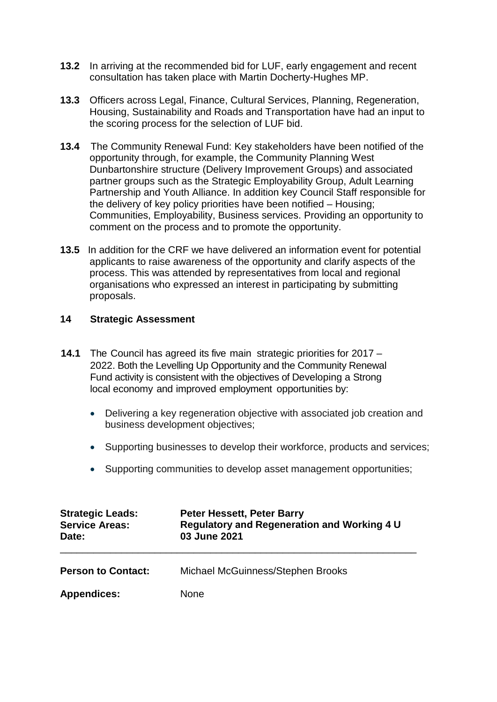- **13.2** In arriving at the recommended bid for LUF, early engagement and recent consultation has taken place with Martin Docherty-Hughes MP.
- **13.3** Officers across Legal, Finance, Cultural Services, Planning, Regeneration, Housing, Sustainability and Roads and Transportation have had an input to the scoring process for the selection of LUF bid.
- **13.4** The Community Renewal Fund: Key stakeholders have been notified of the opportunity through, for example, the Community Planning West Dunbartonshire structure (Delivery Improvement Groups) and associated partner groups such as the Strategic Employability Group, Adult Learning Partnership and Youth Alliance. In addition key Council Staff responsible for the delivery of key policy priorities have been notified – Housing; Communities, Employability, Business services. Providing an opportunity to comment on the process and to promote the opportunity.
- **13.5** In addition for the CRF we have delivered an information event for potential applicants to raise awareness of the opportunity and clarify aspects of the process. This was attended by representatives from local and regional organisations who expressed an interest in participating by submitting proposals.

### **14 Strategic Assessment**

- **14.1** The Council has agreed its five main strategic priorities for 2017 2022. Both the Levelling Up Opportunity and the Community Renewal Fund activity is consistent with the objectives of Developing a Strong local economy and improved employment opportunities by:
	- Delivering a key regeneration objective with associated job creation and business development objectives;
	- Supporting businesses to develop their workforce, products and services;
	- Supporting communities to develop asset management opportunities;

| <b>Strategic Leads:</b><br><b>Service Areas:</b><br>Date: | Peter Hessett, Peter Barry<br><b>Regulatory and Regeneration and Working 4 U</b><br>03 June 2021 |
|-----------------------------------------------------------|--------------------------------------------------------------------------------------------------|
| <b>Person to Contact:</b>                                 | Michael McGuinness/Stephen Brooks                                                                |
| <b>Appendices:</b>                                        | <b>None</b>                                                                                      |